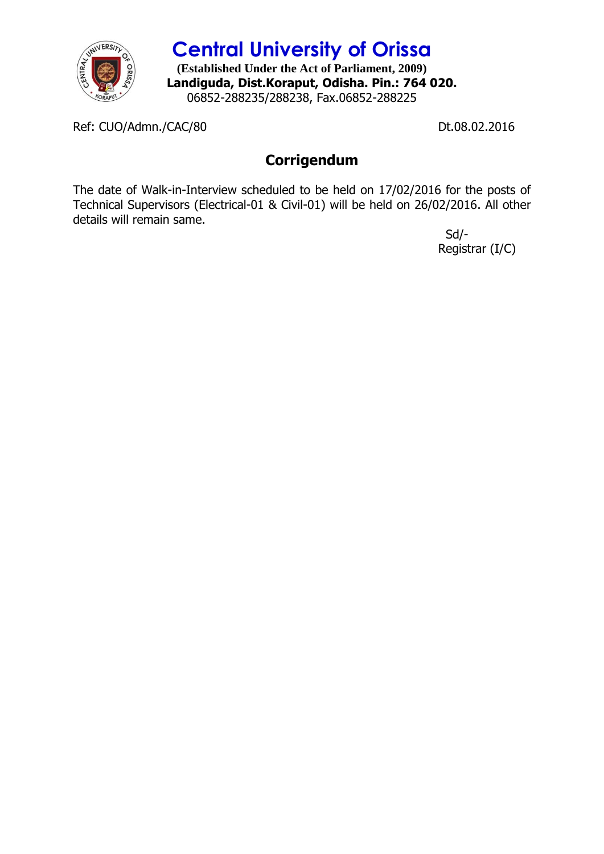

**Central University of Orissa**

**(Established Under the Act of Parliament, 2009) Landiguda, Dist.Koraput, Odisha. Pin.: 764 020.** 06852-288235/288238, Fax.06852-288225

Ref: CUO/Admn./CAC/80 Dt.08.02.2016

## **Corrigendum**

The date of Walk-in-Interview scheduled to be held on 17/02/2016 for the posts of Technical Supervisors (Electrical-01 & Civil-01) will be held on 26/02/2016. All other details will remain same.

> Sd/- Registrar (I/C)